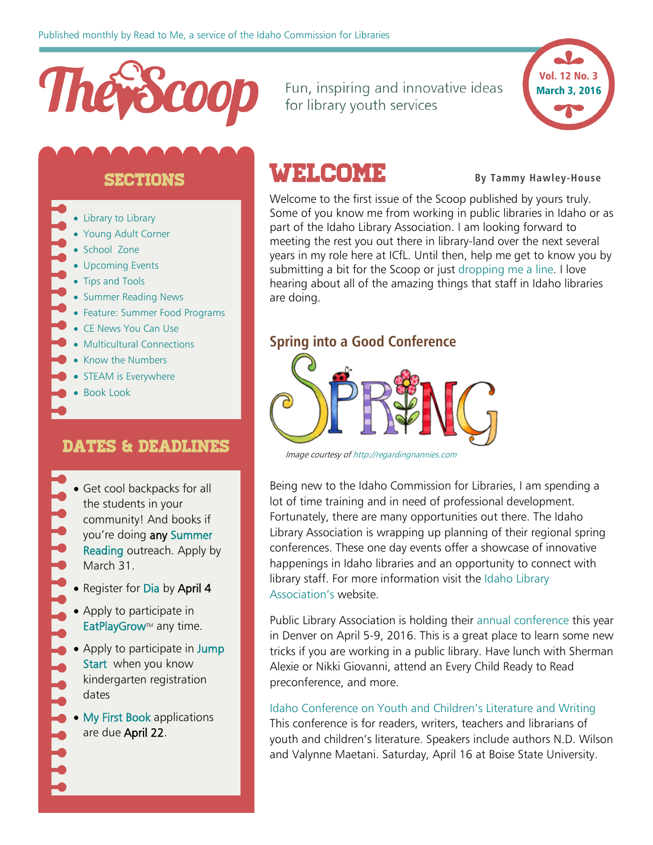# Thevecoop

Fun, inspiring and innovative ideas for library youth services



## sections

- [Library to Library](#page-1-0)
- [Young Adult Corner](#page-3-0)
- [School Zone](#page-3-1)
- [Upcoming Events](#page-5-0)
- [Tips and Tools](#page-6-0)
- [Summer Reading News](#page-7-0)
- [Feature: Summer Food Programs](#page-9-0)
- [CE News You Can Use](#page-10-0)
- [Multicultural Connections](#page-11-0)
- [Know the Numbers](#page-11-0)
- [STEAM is Everywhere](#page-12-0)
- [Book Look](#page-12-0)

# Dates & Deadlines

- Get cool backpacks for all the students in your community! And books if you're doing any [Summer](http://libraries.idaho.gov/page/bright-futures-summer-reading-opportunities-school-visits)  [Reading](http://libraries.idaho.gov/page/bright-futures-summer-reading-opportunities-school-visits) outreach. Apply by March 31.
- Register for [Dia](#page-5-1) by April 4
- Apply to participate in EatPlayGrow<sup>™</sup> any time.
- Apply to participate in Jump [Start](http://libraries.idaho.gov/landing/jump-start) when you know kindergarten registration dates
- [My First Book](http://libraries.idaho.gov/blogs/stacishaw/my-first-books-application-2016-2017-open-now) applications are due April 22.

# **WELCOME** By Tammy Hawley-House

Welcome to the first issue of the Scoop published by yours truly. Some of you know me from working in public libraries in Idaho or as part of the Idaho Library Association. I am looking forward to meeting the rest you out there in library-land over the next several years in my role here at ICfL. Until then, help me get to know you by submitting a bit for the Scoop or just [dropping me a line.](mailto:tammy.hawleyhouse@libraries.idaho.gov) I love hearing about all of the amazing things that staff in Idaho libraries are doing.

#### **Spring into a Good Conference**



Image courtesy o[f http://regardingnannies.com](http://regardingnannies.com/)

Being new to the Idaho Commission for Libraries, I am spending a lot of time training and in need of professional development. Fortunately, there are many opportunities out there. The Idaho Library Association is wrapping up planning of their regional spring conferences. These one day events offer a showcase of innovative happenings in Idaho libraries and an opportunity to connect with library staff. For more information visit the [Idaho Library](http://idaholibraries.org/conferences/regional-conferences/)  [Association's](http://idaholibraries.org/conferences/regional-conferences/) website.

Public Library Association is holding their [annual conference](http://www.placonference.org/) this year in Denver on April 5-9, 2016. This is a great place to learn some new tricks if you are working in a public library. Have lunch with Sherman Alexie or Nikki Giovanni, attend an Every Child Ready to Read preconference, and more.

#### [Idaho Conference on Youth and Children's Literature and Writing](http://idcclw.com/)

This conference is for readers, writers, teachers and librarians of youth and children's literature. Speakers include authors N.D. Wilson and Valynne Maetani. Saturday, April 16 at Boise State University.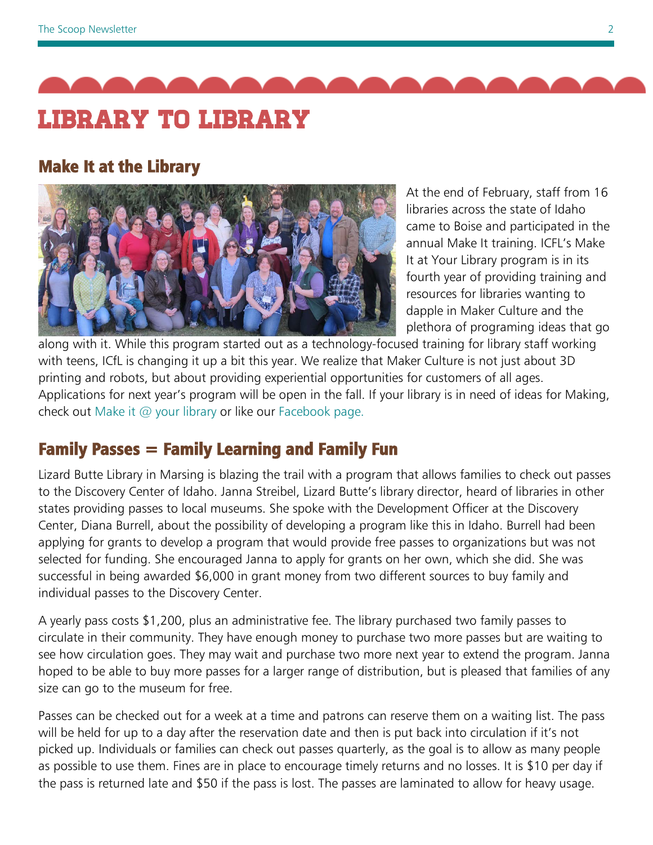<span id="page-1-0"></span>

# Make It at the Library



At the end of February, staff from 16 libraries across the state of Idaho came to Boise and participated in the annual Make It training. ICFL's Make It at Your Library program is in its fourth year of providing training and resources for libraries wanting to dapple in Maker Culture and the plethora of programing ideas that go

along with it. While this program started out as a technology-focused training for library staff working with teens, ICfL is changing it up a bit this year. We realize that Maker Culture is not just about 3D printing and robots, but about providing experiential opportunities for customers of all ages. Applications for next year's program will be open in the fall. If your library is in need of ideas for Making, check out [Make it @ your library](http://makeitatyourlibrary.org/) or like our [Facebook page.](https://www.facebook.com/MakeItIdaho/?ref=hl)

# Family Passes = Family Learning and Family Fun

Lizard Butte Library in Marsing is blazing the trail with a program that allows families to check out passes to the Discovery Center of Idaho. Janna Streibel, Lizard Butte's library director, heard of libraries in other states providing passes to local museums. She spoke with the Development Officer at the Discovery Center, Diana Burrell, about the possibility of developing a program like this in Idaho. Burrell had been applying for grants to develop a program that would provide free passes to organizations but was not selected for funding. She encouraged Janna to apply for grants on her own, which she did. She was successful in being awarded \$6,000 in grant money from two different sources to buy family and individual passes to the Discovery Center.

A yearly pass costs \$1,200, plus an administrative fee. The library purchased two family passes to circulate in their community. They have enough money to purchase two more passes but are waiting to see how circulation goes. They may wait and purchase two more next year to extend the program. Janna hoped to be able to buy more passes for a larger range of distribution, but is pleased that families of any size can go to the museum for free.

Passes can be checked out for a week at a time and patrons can reserve them on a waiting list. The pass will be held for up to a day after the reservation date and then is put back into circulation if it's not picked up. Individuals or families can check out passes quarterly, as the goal is to allow as many people as possible to use them. Fines are in place to encourage timely returns and no losses. It is \$10 per day if the pass is returned late and \$50 if the pass is lost. The passes are laminated to allow for heavy usage.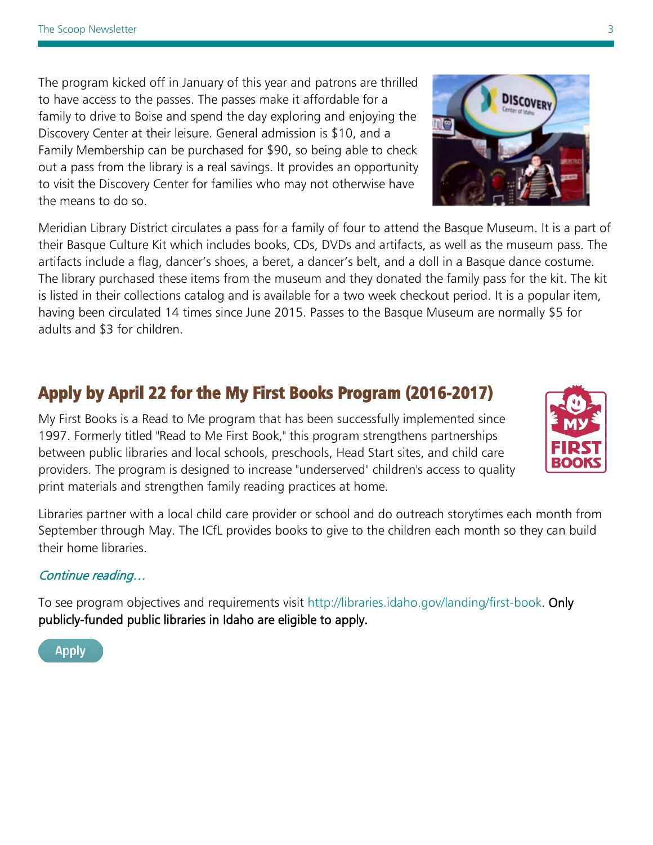The program kicked off in January of this year and patrons are thrilled to have access to the passes. The passes make it affordable for a family to drive to Boise and spend the day exploring and enjoying the Discovery Center at their leisure. General admission is \$10, and a Family Membership can be purchased for \$90, so being able to check out a pass from the library is a real savings. It provides an opportunity to visit the Discovery Center for families who may not otherwise have the means to do so.

Meridian Library District circulates a pass for a family of four to attend the Basque Museum. It is a part of their Basque Culture Kit which includes books, CDs, DVDs and artifacts, as well as the museum pass. The artifacts include a flag, dancer's shoes, a beret, a dancer's belt, and a doll in a Basque dance costume. The library purchased these items from the museum and they donated the family pass for the kit. The kit is listed in their collections catalog and is available for a two week checkout period. It is a popular item, having been circulated 14 times since June 2015. Passes to the Basque Museum are normally \$5 for adults and \$3 for children.

# Apply by April 22 for the My First Books Program (2016-2017)

My First Books is a Read to Me program that has been successfully implemented since 1997. Formerly titled "Read to Me First Book," this program strengthens partnerships between public libraries and local schools, preschools, Head Start sites, and child care providers. The program is designed to increase "underserved" children's access to quality print materials and strengthen family reading practices at home.

Libraries partner with a local child care provider or school and do outreach storytimes each month from September through May. The ICfL provides books to give to the children each month so they can build their home libraries.

#### [Continue reading…](http://libraries.idaho.gov/blogs/stacishaw/my-first-books-application-2016-2017-open-now)

I,

To see program objectives and requirements visit [http://libraries.idaho.gov/landing/first-book.](http://libraries.idaho.gov/landing/first-book) Only publicly-funded public libraries in Idaho are eligible to apply.

**Apply** 







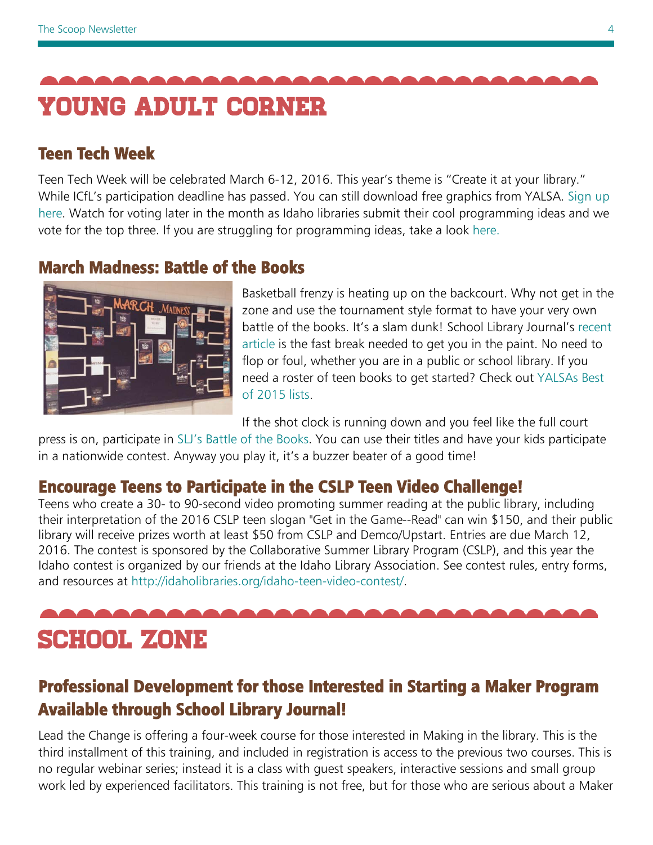<span id="page-3-2"></span><span id="page-3-0"></span>

# Teen Tech Week

Teen Tech Week will be celebrated March 6-12, 2016. This year's theme is "Create it at your library." While ICfL's participation deadline has passed. You can still download free graphics from YALSA. [Sign up](http://teentechweek.ning.com/)  [here.](http://teentechweek.ning.com/) Watch for voting later in the month as Idaho libraries submit their cool programming ideas and we vote for the top three. If you are struggling for programming ideas, take a look [here.](http://teentechweek.ning.com/page/event-activity-ideas)

# March Madness: Battle of the Books



Basketball frenzy is heating up on the backcourt. Why not get in the zone and use the tournament style format to have your very own battle of the books. It's a slam dunk! School Library Journal's [recent](http://www.slj.com/2016/02/programs/battle-of-the-books-slam-dunk-programming-for-all-ages/#_)  [article](http://www.slj.com/2016/02/programs/battle-of-the-books-slam-dunk-programming-for-all-ages/#_) is the fast break needed to get you in the paint. No need to flop or foul, whether you are in a public or school library. If you need a roster of teen books to get started? Check out [YALSAs Best](http://www.ala.org/yalsa/2015-best-best)  [of 2015 lists.](http://www.ala.org/yalsa/2015-best-best)

If the shot clock is running down and you feel like the full court

press is on, participate in [SLJ's Battle of the Books.](http://blogs.slj.com/battleofthebooks/about/) You can use their titles and have your kids participate in a nationwide contest. Anyway you play it, it's a buzzer beater of a good time!

# Encourage Teens to Participate in the CSLP Teen Video Challenge!

Teens who create a 30- to 90-second video promoting summer reading at the public library, including their interpretation of the 2016 CSLP teen slogan "Get in the Game--Read" can win \$150, and their public library will receive prizes worth at least \$50 from CSLP and Demco/Upstart. Entries are due March 12, 2016. The contest is sponsored by the Collaborative Summer Library Program (CSLP), and this year the Idaho contest is organized by our friends at the Idaho Library Association. See contest rules, entry forms, and resources at [http://idaholibraries.org/idaho-teen-video-contest/.](http://idaholibraries.org/idaho-teen-video-contest/)

<span id="page-3-1"></span>

# Professional Development for those Interested in Starting a Maker Program Available through School Library Journal!

Lead the Change is offering a four-week course for those interested in Making in the library. This is the third installment of this training, and included in registration is access to the previous two courses. This is no regular webinar series; instead it is a class with guest speakers, interactive sessions and small group work led by experienced facilitators. This training is not free, but for those who are serious about a Maker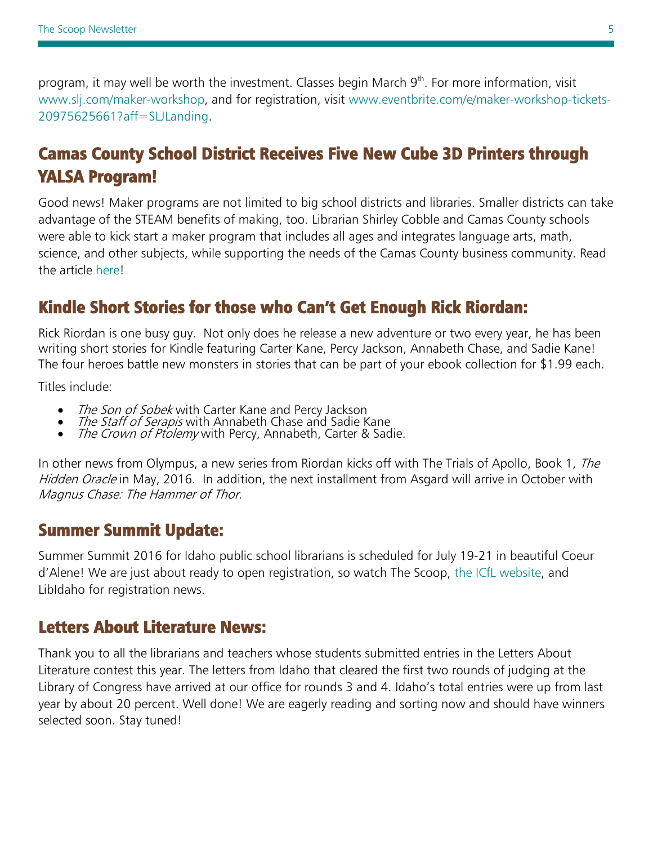program, it may well be worth the investment. Classes begin March 9<sup>th</sup>. For more information, visit [www.slj.com/maker-workshop,](http://www.slj.com/maker-workshop) and for registration, visit [www.eventbrite.com/e/maker-workshop-tickets-](http://www.eventbrite.com/e/maker-workshop-tickets-20975625661?aff=SLJLanding)[20975625661?aff=SLJLanding.](http://www.eventbrite.com/e/maker-workshop-tickets-20975625661?aff=SLJLanding)

# Camas County School District Receives Five New Cube 3D Printers through YALSA Program!

Good news! Maker programs are not limited to big school districts and libraries. Smaller districts can take advantage of the STEAM benefits of making, too. Librarian Shirley Cobble and Camas County schools were able to kick start a maker program that includes all ages and integrates language arts, math, science, and other subjects, while supporting the needs of the Camas County business community. Read the article here!

# Kindle Short Stories for those who Can't Get Enough Rick Riordan:

Rick Riordan is one busy guy. Not only does he release a new adventure or two every year, he has been writing short stories for Kindle featuring Carter Kane, Percy Jackson, Annabeth Chase, and Sadie Kane! The four heroes battle new monsters in stories that can be part of your ebook collection for \$1.99 each.

Titles include:

- 
- The Son of Sobek with Carter Kane and Percy Jackson<br>• The Staff of Serapis with Annabeth Chase and Sadie Kane<br>• The Crown of Ptolemy with Percy, Annabeth, Carter & Sadie.
- 

In other news from Olympus, a new series from Riordan kicks off with The Trials of Apollo, Book 1, The Hidden Oracle in May, 2016. In addition, the next installment from Asgard will arrive in October with Magnus Chase: The Hammer of Thor.

# Summer Summit Update:

Summer Summit 2016 for Idaho public school librarians is scheduled for July 19-21 in beautiful Coeur d'Alene! We are just about ready to open registration, so watch The Scoop, [the ICfL website,](http://libraries.idaho.gov/) and LibIdaho for registration news.

# Letters About Literature News:

Thank you to all the librarians and teachers whose students submitted entries in the Letters About Literature contest this year. The letters from Idaho that cleared the first two rounds of judging at the Library of Congress have arrived at our office for rounds 3 and 4. Idaho's total entries were up from last year by about 20 percent. Well done! We are eagerly reading and sorting now and should have winners selected soon. Stay tuned!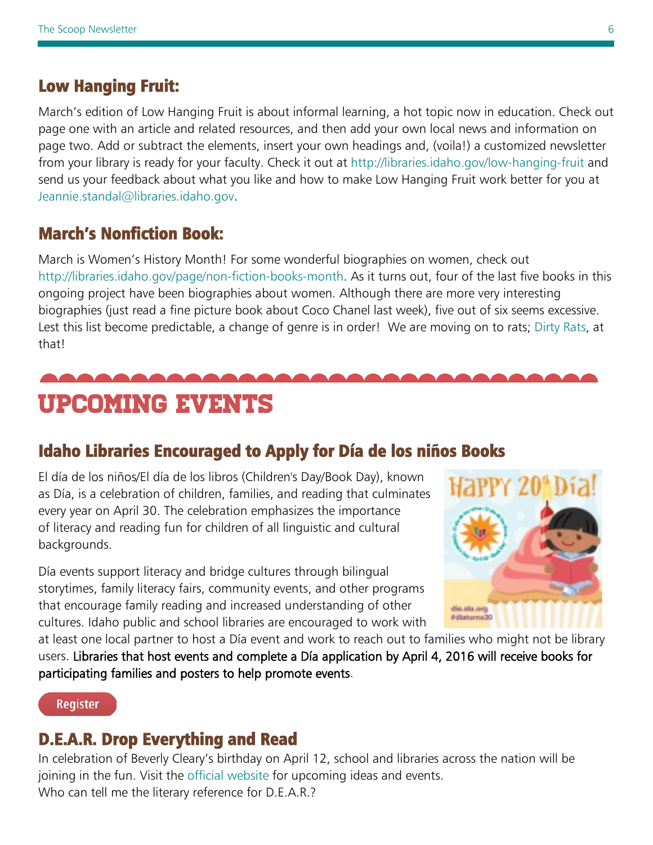# <span id="page-5-0"></span>Low Hanging Fruit:

March's edition of Low Hanging Fruit is about informal learning, a hot topic now in education. Check out page one with an article and related resources, and then add your own local news and information on page two. Add or subtract the elements, insert your own headings and, (voila!) a customized newsletter from your library is ready for your faculty. Check it out at<http://libraries.idaho.gov/low-hanging-fruit> and send us your feedback about what you like and how to make Low Hanging Fruit work better for you at [Jeannie.standal@libraries.idaho.gov.](mailto:Jeannie.standal@libraries.idaho.gov)

# March's Nonfiction Book:

March is Women's History Month! For some wonderful biographies on women, check out [http://libraries.idaho.gov/page/non-fiction-books-month.](http://libraries.idaho.gov/page/non-fiction-books-month) As it turns out, four of the last five books in this ongoing project have been biographies about women. Although there are more very interesting biographies (just read a fine picture book about Coco Chanel last week), five out of six seems excessive. Lest this list become predictable, a change of genre is in order! We are moving on to rats; [Dirty Rats,](http://libraries.idaho.gov/page/non-fiction-books-month) at that!

# <span id="page-5-1"></span>Upcoming Events

# Idaho Libraries Encouraged to Apply for Día de los niños Books

El día de los niños/El día de los libros (Children's Day/Book Day), known as Día, is a celebration of children, families, and reading that culminates every year on April 30. The celebration emphasizes the importance of literacy and reading fun for children of all linguistic and cultural backgrounds.

Día events support literacy and bridge cultures through bilingual storytimes, family literacy fairs, community events, and other programs that encourage family reading and increased understanding of other cultures. Idaho public and school libraries are encouraged to work with



at least one local partner to host a Día event and work to reach out to families who might not be library users. Libraries that host events and complete a Día application by April 4, 2016 will receive books for participating families and posters to help promote events.

**Register** 

# D.E.A.R. Drop Everything and Read

In celebration of Beverly Cleary's birthday on April 12, school and libraries across the nation will be joining in the fun. Visit the [official website](http://dropeverythingandread.com/) for upcoming ideas and events. Who can tell me the literary reference for D.E.A.R.?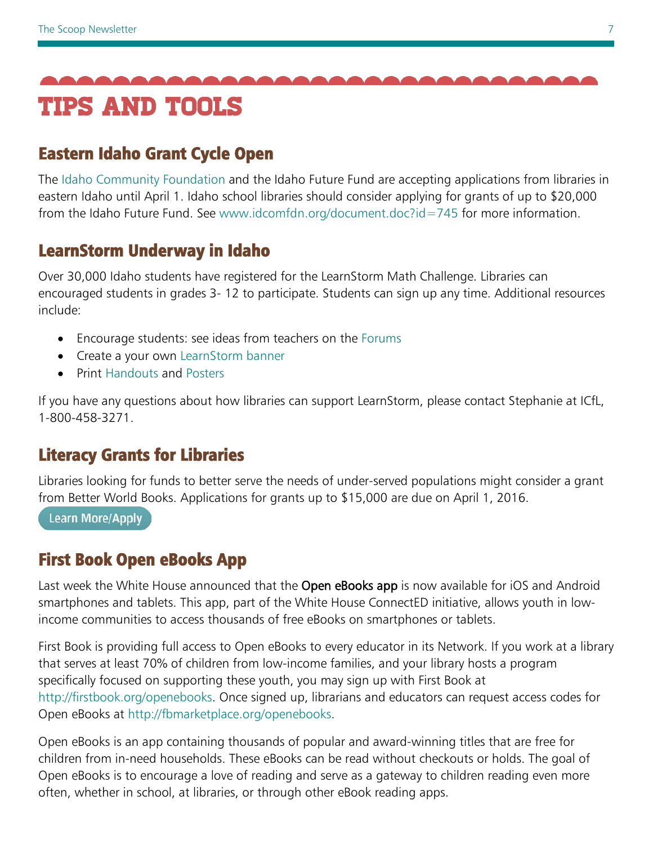<span id="page-6-0"></span>

# Eastern Idaho Grant Cycle Open

The [Idaho Community Foundation](http://www.idcomfdn.org/) and the Idaho Future Fund are accepting applications from libraries in eastern Idaho until April 1. Idaho school libraries should consider applying for grants of up to \$20,000 from the Idaho Future Fund. See [www.idcomfdn.org/document.doc?id=745](http://www.idcomfdn.org/document.doc?id=745) for more information.

# LearnStorm Underway in Idaho

Over 30,000 Idaho students have registered for the LearnStorm Math Challenge. Libraries can encouraged students in grades 3- 12 to participate. Students can sign up any time. Additional resources include:

- Encourage students: see ideas from teachers on the [Forums](http://emails.khanacademy.org/click/6128052.465/aHR0cDovL2NvbW11bml0eS5sZWFybnN0b3JtMjAxNi5vcmcvZm9ydW0vNDktdGVhY2hlci1mb3J1bXMv/564ba90d6e4adc3863780b9fBb8c3caec)
- Create a your own [LearnStorm banner](http://emails.khanacademy.org/click/6128052.465/aHR0cDovL3NoYXJlLmxlYXJuc3Rvcm0yMDE2Lm9yZy8/564ba90d6e4adc3863780b9fB2773f170)
- Print [Handouts](http://emails.khanacademy.org/click/6128052.465/aHR0cDovL3d3dy5sZWFybnN0b3JtMjAxNi5vcmcvcmVzb3VyY2VzL2lkYWhvI2Rvd25sb2Fkcw/564ba90d6e4adc3863780b9fBedf17c95) and [Posters](http://emails.khanacademy.org/click/6128052.465/aHR0cDovL3d3dy5sZWFybnN0b3JtMjAxNi5vcmcvcmVzb3VyY2VzL2lkYWhvI2Rvd25sb2Fkcw/564ba90d6e4adc3863780b9fCedf17c95)

If you have any questions about how libraries can support LearnStorm, please contact Stephanie at ICfL, 1-800-458-3271.

# Literacy Grants for Libraries

Libraries looking for funds to better serve the needs of under-served populations might consider a grant from Better World Books. Applications for grants up to \$15,000 are due on April 1, 2016.

**Learn More/Apply** 

# First Book Open eBooks App

Last week the White House announced that the Open eBooks app is now available for iOS and Android smartphones and tablets. This app, part of the White House ConnectED initiative, allows youth in lowincome communities to access thousands of free eBooks on smartphones or tablets.

First Book is providing full access to Open eBooks to every educator in its Network. If you work at a library that serves at least 70% of children from low-income families, and your library hosts a program specifically focused on supporting these youth, you may sign up with First Book at [http://firstbook.org/openebooks.](http://firstbook.org/openebooks) Once signed up, librarians and educators can request access codes for Open eBooks at [http://fbmarketplace.org/openebooks.](http://fbmarketplace.org/openebooks)

Open eBooks is an app containing thousands of popular and award-winning titles that are free for children from in-need households. These eBooks can be read without checkouts or holds. The goal of Open eBooks is to encourage a love of reading and serve as a gateway to children reading even more often, whether in school, at libraries, or through other eBook reading apps.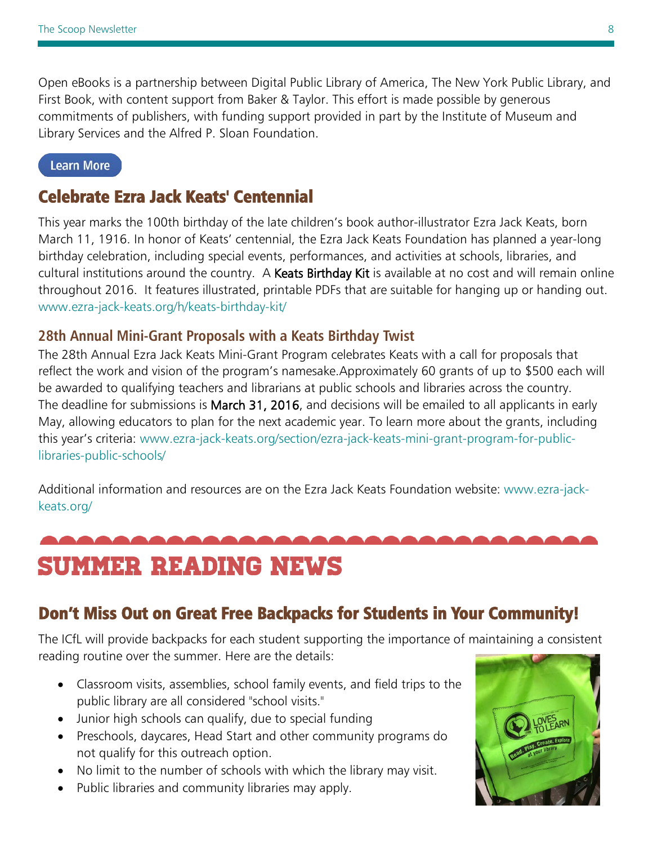<span id="page-7-0"></span>Open eBooks is a partnership between Digital Public Library of America, The New York Public Library, and First Book, with content support from Baker & Taylor. This effort is made possible by generous commitments of publishers, with funding support provided in part by the Institute of Museum and Library Services and the Alfred P. Sloan Foundation.

#### **Learn More**

# Celebrate Ezra Jack Keats' Centennial

This year marks the 100th birthday of the late children's book author-illustrator Ezra Jack Keats, born March 11, 1916. In honor of Keats' centennial, the Ezra Jack Keats Foundation has planned a year-long birthday celebration, including special events, performances, and activities at schools, libraries, and cultural institutions around the country. A Keats Birthday Kit is available at no cost and will remain online throughout 2016. It features illustrated, printable PDFs that are suitable for hanging up or handing out. [www.ezra-jack-keats.org/h/keats-birthday-kit/](http://www.ezra-jack-keats.org/h/keats-birthday-kit/)

#### **28th Annual Mini-Grant Proposals with a Keats Birthday Twist**

The 28th Annual Ezra Jack Keats Mini-Grant Program celebrates Keats with a call for proposals that reflect the work and vision of the program's namesake.Approximately 60 grants of up to \$500 each will be awarded to qualifying teachers and librarians at public schools and libraries across the country. The deadline for submissions is March 31, 2016, and decisions will be emailed to all applicants in early May, allowing educators to plan for the next academic year. To learn more about the grants, including this year's criteria: [www.ezra-jack-keats.org/section/ezra-jack-keats-mini-grant-program-for-public](http://www.ezra-jack-keats.org/section/ezra-jack-keats-mini-grant-program-for-public-libraries-public-schools/)[libraries-public-schools/](http://www.ezra-jack-keats.org/section/ezra-jack-keats-mini-grant-program-for-public-libraries-public-schools/)

Additional information and resources are on the Ezra Jack Keats Foundation website: [www.ezra-jack](http://www.ezra-jack-keats.org/)[keats.org/](http://www.ezra-jack-keats.org/)

# summer reading news

# Don't Miss Out on Great Free Backpacks for Students in Your Community!

The ICfL will provide backpacks for each student supporting the importance of maintaining a consistent reading routine over the summer. Here are the details:

- Classroom visits, assemblies, school family events, and field trips to the public library are all considered "school visits."
- Junior high schools can qualify, due to special funding
- Preschools, daycares, Head Start and other community programs do not qualify for this outreach option.
- No limit to the number of schools with which the library may visit.
- Public libraries and community libraries may apply.

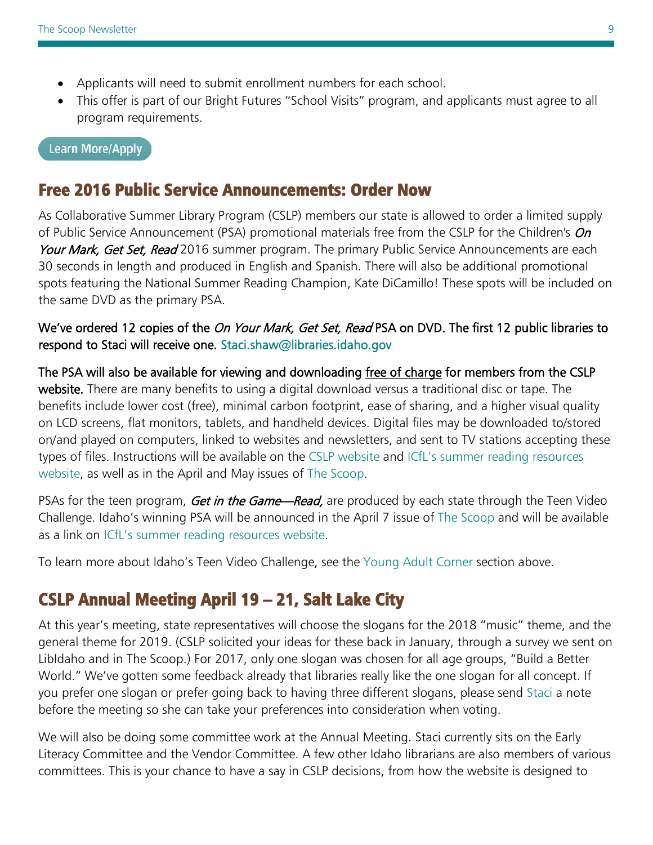- Applicants will need to submit enrollment numbers for each school.
- This offer is part of our Bright Futures "School Visits" program, and applicants must agree to all program requirements.

#### **Learn More/Apply**

# Free 2016 Public Service Announcements: Order Now

As Collaborative Summer Library Program (CSLP) members our state is allowed to order a limited supply of Public Service Announcement (PSA) promotional materials free from the CSLP for the Children's On Your Mark, Get Set, Read 2016 summer program. The primary Public Service Announcements are each 30 seconds in length and produced in English and Spanish. There will also be additional promotional spots featuring the National Summer Reading Champion, Kate DiCamillo! These spots will be included on the same DVD as the primary PSA.

#### We've ordered 12 copies of the On Your Mark, Get Set, Read PSA on DVD. The first 12 public libraries to respond to Staci will receive one. [Staci.shaw@libraries.idaho.gov](mailto:Staci.shaw@libraries.idaho.gov)

The PSA will also be available for viewing and downloading free of charge for members from the CSLP website. There are many benefits to using a digital download versus a traditional disc or tape. The benefits include lower cost (free), minimal carbon footprint, ease of sharing, and a higher visual quality on LCD screens, flat monitors, tablets, and handheld devices. Digital files may be downloaded to/stored on/and played on computers, linked to websites and newsletters, and sent to TV stations accepting these types of files. Instructions will be available on the [CSLP website](http://www.cslpreads.org/) and [ICfL's summer reading resources](http://libraries.idaho.gov/page/summer-reading-resources)  [website,](http://libraries.idaho.gov/page/summer-reading-resources) as well as in the April and May issues of [The Scoop.](http://libraries.idaho.gov/page/scoop)

PSAs for the teen program, Get in the Game—Read, are produced by each state through the Teen Video Challenge. Idaho's winning PSA will be announced in the April 7 issue of [The Scoop](http://libraries.idaho.gov/page/scoop) and will be available as a link on [ICfL's summer reading resources website.](http://libraries.idaho.gov/page/summer-reading-resources)

To learn more about Idaho's Teen Video Challenge, see the [Young Adult Corner](#page-3-2) section above.

# CSLP Annual Meeting April 19 – 21, Salt Lake City

At this year's meeting, state representatives will choose the slogans for the 2018 "music" theme, and the general theme for 2019. (CSLP solicited your ideas for these back in January, through a survey we sent on LibIdaho and in The Scoop.) For 2017, only one slogan was chosen for all age groups, "Build a Better World." We've gotten some feedback already that libraries really like the one slogan for all concept. If you prefer one slogan or prefer going back to having three different slogans, please send [Staci](mailto:Staci.shaw@libraries.idaho.gov) a note before the meeting so she can take your preferences into consideration when voting.

We will also be doing some committee work at the Annual Meeting. Staci currently sits on the Early Literacy Committee and the Vendor Committee. A few other Idaho librarians are also members of various committees. This is your chance to have a say in CSLP decisions, from how the website is designed to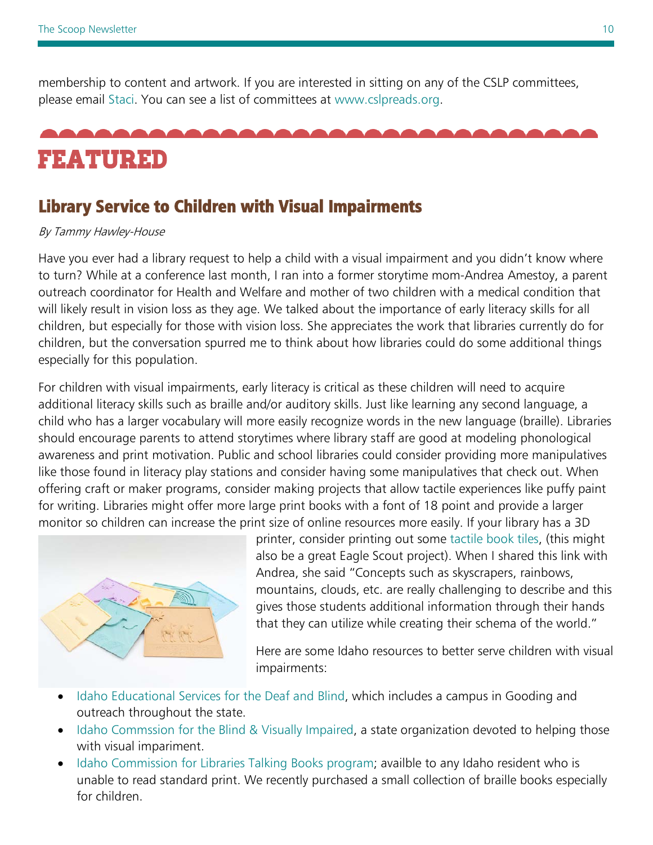<span id="page-9-0"></span>membership to content and artwork. If you are interested in sitting on any of the CSLP committees, please email [Staci.](mailto:Staci.shaw@libraries.idaho.gov) You can see a list of committees at [www.cslpreads.org.](http://www.cslpreads.org/)

# Featured

# Library Service to Children with Visual Impairments

#### By Tammy Hawley-House

Have you ever had a library request to help a child with a visual impairment and you didn't know where to turn? While at a conference last month, I ran into a former storytime mom-Andrea Amestoy, a parent outreach coordinator for Health and Welfare and mother of two children with a medical condition that will likely result in vision loss as they age. We talked about the importance of early literacy skills for all children, but especially for those with vision loss. She appreciates the work that libraries currently do for children, but the conversation spurred me to think about how libraries could do some additional things especially for this population.

For children with visual impairments, early literacy is critical as these children will need to acquire additional literacy skills such as braille and/or auditory skills. Just like learning any second language, a child who has a larger vocabulary will more easily recognize words in the new language (braille). Libraries should encourage parents to attend storytimes where library staff are good at modeling phonological awareness and print motivation. Public and school libraries could consider providing more manipulatives like those found in literacy play stations and consider having some manipulatives that check out. When offering craft or maker programs, consider making projects that allow tactile experiences like puffy paint for writing. Libraries might offer more large print books with a font of 18 point and provide a larger monitor so children can increase the print size of online resources more easily. If your library has a 3D



printer, consider printing out some [tactile book tiles,](http://www.fastcodesign.com/3056557/wanted/anyone-can-3-d-print-these-beautiful-storybooks-for-visually-impaired-kids?utm_content=buffera5936&utm_medium=social&utm_source=twitter.com&utm_campaign=buffer) (this might also be a great Eagle Scout project). When I shared this link with Andrea, she said "Concepts such as skyscrapers, rainbows, mountains, clouds, etc. are really challenging to describe and this gives those students additional information through their hands that they can utilize while creating their schema of the world."

Here are some Idaho resources to better serve children with visual impairments:

- [Idaho Educational Services for the Deaf and Blind,](http://www.iesdb.org/index.php) which includes a campus in Gooding and outreach throughout the state.
- [Idaho Commssion for the Blind & Visually Impaired,](http://www.icbvi.idaho.gov/) a state organization devoted to helping those with visual impariment.
- [Idaho Commission for Libraries Talking Books program;](http://libraries.idaho.gov/landing/talking-book-service) availble to any Idaho resident who is unable to read standard print. We recently purchased a small collection of braille books especially for children.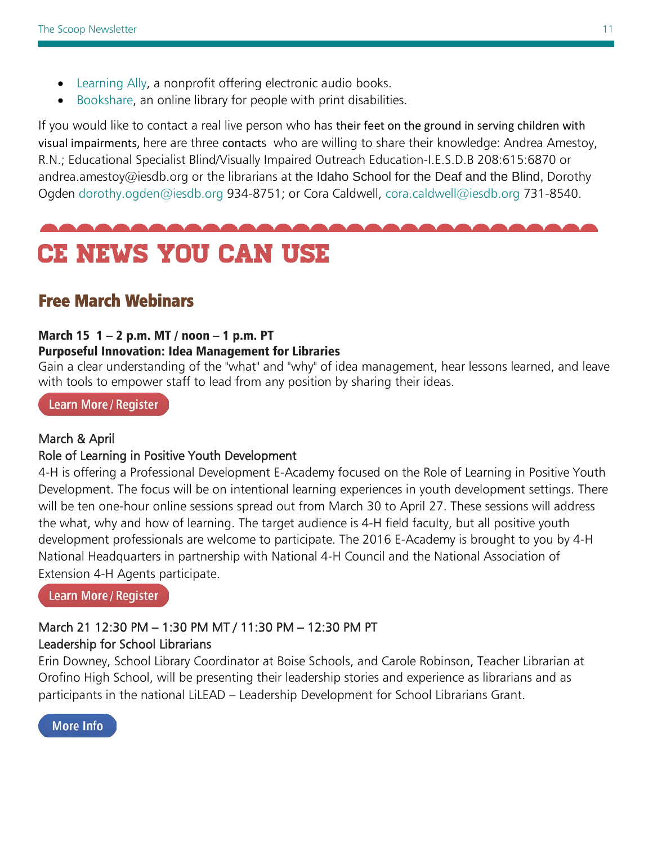- <span id="page-10-0"></span>• [Learning Ally,](http://www.learningally.org/default.aspx) a nonprofit offering electronic audio books.
- [Bookshare,](https://www.bookshare.org/cms) an online library for people with print disabilities.

If you would like to contact a real live person who has their feet on the ground in serving children with visual impairments, here are three contacts who are willing to share their knowledge: Andrea Amestoy, R.N.; Educational Specialist Blind/Visually Impaired Outreach Education-I.E.S.D.B 208:615:6870 or [andrea.amestoy@iesdb.org](mailto:andrea.amestoy@iesdb.org) or the librarians at the Idaho School for the Deaf and the Blind, Dorothy Ogden [dorothy.ogden@iesdb.org](mailto:dorothy.ogden@iesdb.org) 934-8751; or Cora Caldwell, [cora.caldwell@iesdb.org](mailto:cora.caldwell@iesdb.org) 731-8540.



# Free March Webinars

#### March 15  $1 - 2$  p.m. MT / noon  $-1$  p.m. PT

#### Purposeful Innovation: Idea Management for Libraries

Gain a clear understanding of the "what" and "why" of idea management, hear lessons learned, and leave with tools to empower staff to lead from any position by sharing their ideas.

#### Learn More / Register

#### March & April

١

#### Role of Learning in Positive Youth Development

4-H is offering a Professional Development E-Academy focused on the Role of Learning in Positive Youth Development. The focus will be on intentional learning experiences in youth development settings. There will be ten one-hour online sessions spread out from March 30 to April 27. These sessions will address the what, why and how of learning. The target audience is 4-H field faculty, but all positive youth development professionals are welcome to participate. The 2016 E-Academy is brought to you by 4-H National Headquarters in partnership with National 4-H Council and the National Association of Extension 4-H Agents participate.

**Learn More/Register** 

#### March 21 12:30 PM – 1:30 PM MT / 11:30 PM – 12:30 PM PT Leadership for School Librarians

Erin Downey, School Library Coordinator at Boise Schools, and Carole Robinson, Teacher Librarian at Orofino High School, will be presenting their leadership stories and experience as librarians and as participants in the national LiLEAD – Leadership Development for School Librarians Grant.

**More Info**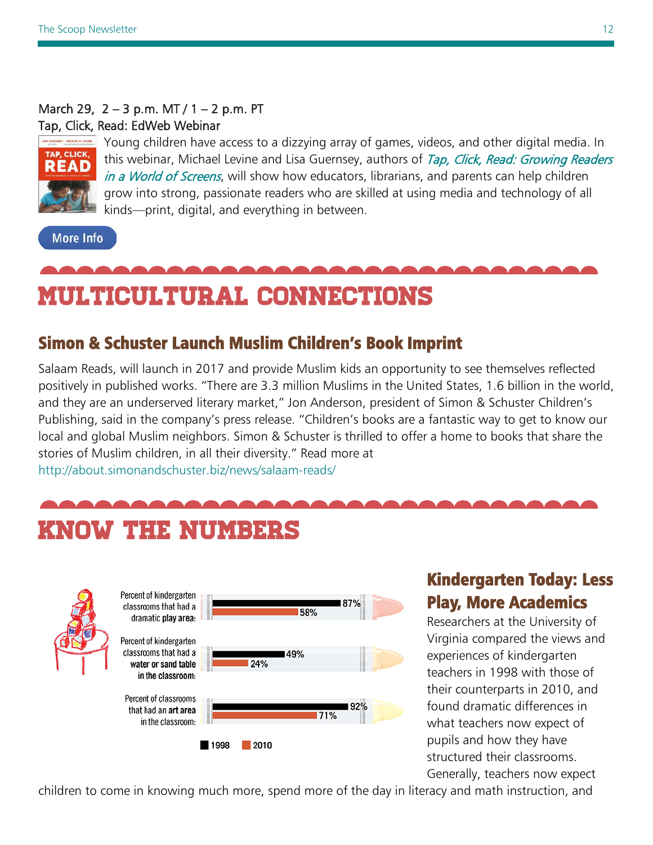#### <span id="page-11-0"></span>March 29, 2 – 3 p.m. MT / 1 – 2 p.m. PT Tap, Click, Read: EdWeb Webinar



Young children have access to a dizzying array of games, videos, and other digital media. In this webinar, Michael Levine and Lisa Guernsey, authors of Tap, Click, Read: Growing Readers [in a World of Screens](http://www.tapclickread.org/), will show how educators, librarians, and parents can help children grow into strong, passionate readers who are skilled at using media and technology of all kinds—print, digital, and everything in between.

**More Info** 

# Multicultural connections

# Simon & Schuster Launch Muslim Children's Book Imprint

Salaam Reads, will launch in 2017 and provide Muslim kids an opportunity to see themselves reflected positively in published works. "There are 3.3 million Muslims in the United States, 1.6 billion in the world, and they are an underserved literary market," Jon Anderson, president of Simon & Schuster Children's Publishing, said in the company's [press release.](http://about.simonandschuster.biz/news/salaam-reads/) "Children's books are a fantastic way to get to know our local and global Muslim neighbors. Simon & Schuster is thrilled to offer a home to books that share the stories of Muslim children, in all their diversity." Read more at <http://about.simonandschuster.biz/news/salaam-reads/>

# know the numbers



# Kindergarten Today: Less Play, More Academics

Researchers at the University of Virginia compared the views and experiences of kindergarten teachers in 1998 with those of their counterparts in 2010, and found dramatic differences in what teachers now expect of pupils and how they have structured their classrooms. Generally, teachers now expect

children to come in knowing much more, spend more of the day in literacy and math instruction, and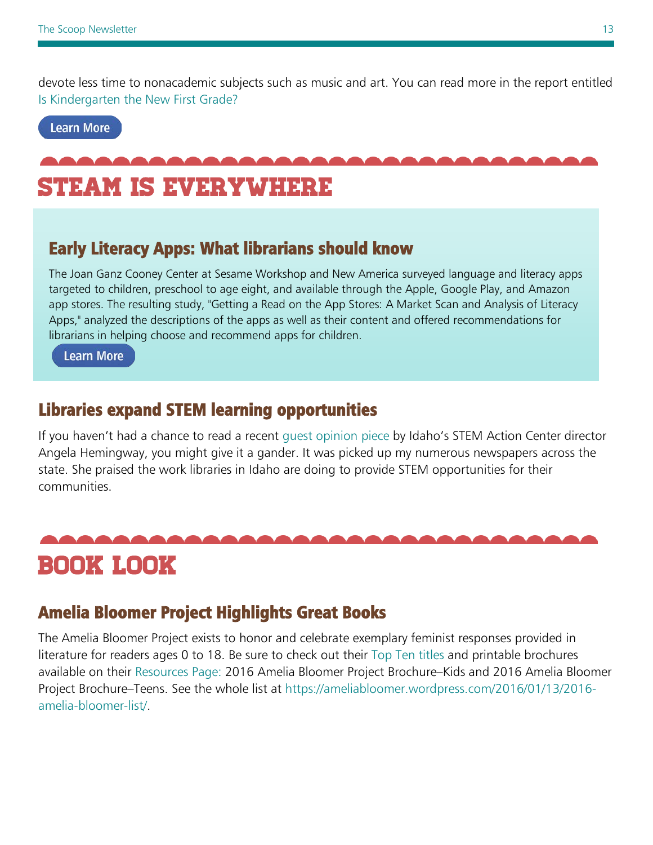<span id="page-12-0"></span>devote less time to nonacademic subjects such as music and art. You can read more in the report entitled [Is Kindergarten the New First Grade?](http://www.aera.net/Newsroom/StudySnapshotIsKindergartentheNewFirstGrade/IsKindergartentheNewFirstGrade/tabid/16159/Default.aspx)

#### **Learn More**

# STEaM is everywhere

## Early Literacy Apps: What librarians should know

The Joan Ganz Cooney Center at Sesame Workshop and New America surveyed language and literacy apps targeted to children, preschool to age eight, and available through the Apple, Google Play, and Amazon app stores. The resulting study, "Getting a Read on the App Stores: A Market Scan and Analysis of Literacy Apps," analyzed the descriptions of the apps as well as their content and offered recommendations for librarians in helping choose and recommend apps for children.

**Learn More** 

## Libraries expand STEM learning opportunities

If you haven't had a chance to read a recent [guest opinion piece](http://www.postregister.com/articles/opinions/2016/02/19/guest-column-libraries-expand-stem-learning-opportunities) by Idaho's STEM Action Center director Angela Hemingway, you might give it a gander. It was picked up my numerous newspapers across the state. She praised the work libraries in Idaho are doing to provide STEM opportunities for their communities.

# Book look

## Amelia Bloomer Project Highlights Great Books

The Amelia Bloomer Project exists to honor and celebrate exemplary feminist responses provided in literature for readers ages 0 to 18. Be sure to check out their [Top Ten titles](https://ameliabloomer.wordpress.com/2016/01/11/2016-amelia-bloomer-top-ten/) and printable brochures available on their [Resources Page:](https://ameliabloomer.wordpress.com/about/amelia-bloomer-project-resources/) 2016 Amelia Bloomer Project Brochure–Kids and 2016 Amelia Bloomer Project Brochure–Teens. See the whole list at [https://ameliabloomer.wordpress.com/2016/01/13/2016](https://ameliabloomer.wordpress.com/2016/01/13/2016-amelia-bloomer-list/) [amelia-bloomer-list/.](https://ameliabloomer.wordpress.com/2016/01/13/2016-amelia-bloomer-list/)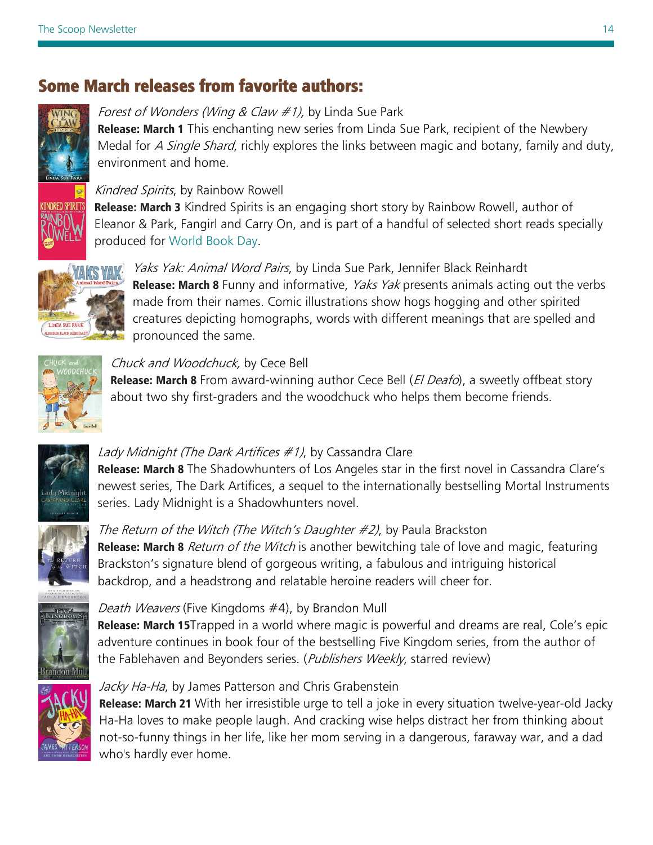# Some March releases from favorite authors:



Forest of Wonders (Wing & Claw  $#1$ ), by Linda Sue Park **Release: March 1** This enchanting new series from Linda Sue Park, recipient of the Newbery Medal for *A Single Shard*, richly explores the links between magic and botany, family and duty, environment and home.

#### Kindred Spirits, by Rainbow Rowell

**Release: March 3** Kindred Spirits is an engaging short story by Rainbow Rowell, author of Eleanor & Park, Fangirl and Carry On, and is part of a handful of selected short reads specially produced for [World Book Day.](http://www.worldbookday.com/)



Yaks Yak: Animal Word Pairs, by Linda Sue Park, Jennifer Black Reinhardt **Release: March 8** Funny and informative, *Yaks Yak* presents animals acting out the verbs made from their names. Comic illustrations show hogs hogging and other spirited creatures depicting homographs, words with different meanings that are spelled and pronounced the same.



#### Chuck and Woodchuck, by Cece Bell

**Release: March 8** From award-winning author Cece Bell (*El Deafo*), a sweetly offbeat story about two shy first-graders and the woodchuck who helps them become friends.



#### Lady Midnight (The Dark Artifices  $#1$ ), by Cassandra Clare

Release: March 8 The Shadowhunters of Los Angeles star in the first novel in Cassandra Clare's newest series, The Dark Artifices, a sequel to the internationally bestselling Mortal Instruments series. Lady Midnight is a Shadowhunters novel.



#### The Return of the Witch (The Witch's Daughter #2), by Paula Brackston Release: March 8 Return of the Witch is another bewitching tale of love and magic, featuring Brackston's signature blend of gorgeous writing, a fabulous and intriguing historical backdrop, and a headstrong and relatable heroine readers will cheer for.



#### Death Weavers (Five Kingdoms #4), by Brandon Mull

**Release: March 15**Trapped in a world where magic is powerful and dreams are real, Cole's epic adventure continues in book four of the bestselling Five Kingdom series, from the author of the Fablehaven and Beyonders series. (Publishers Weekly, starred review)



#### Jacky Ha-Ha, by James Patterson and Chris Grabenstein

Release: March 21 With her irresistible urge to tell a joke in every situation twelve-year-old Jacky Ha-Ha loves to make people laugh. And cracking wise helps distract her from thinking about not-so-funny things in her life, like her mom serving in a dangerous, faraway war, and a dad who's hardly ever home.